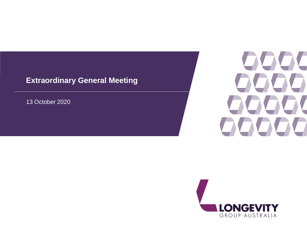13 October 2020



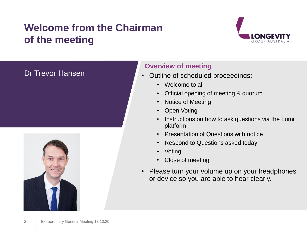# **Welcome from the Chairman of the meeting**



#### Dr Trevor Hansen



#### **Overview of meeting**

- Outline of scheduled proceedings:
	- Welcome to all
	- Official opening of meeting & quorum
	- Notice of Meeting
	- Open Voting
	- Instructions on how to ask questions via the Lumi platform
	- Presentation of Questions with notice
	- Respond to Questions asked today
	- Voting
	- Close of meeting
- Please turn your volume up on your headphones or device so you are able to hear clearly.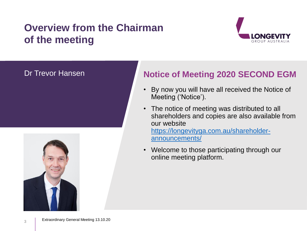# **Overview from the Chairman of the meeting**



#### Dr Trevor Hansen



## **Notice of Meeting 2020 SECOND EGM**

- By now you will have all received the Notice of Meeting ('Notice').
- The notice of meeting was distributed to all shareholders and copies are also available from our website [https://longevityga.com.au/shareholder](https://longevityga.com.au/shareholder-announcements/)announcements/
- Welcome to those participating through our online meeting platform.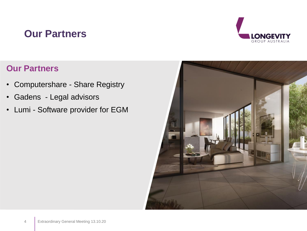# **Our Partners**



## **Our Partners**

- Computershare Share Registry
- Gadens Legal advisors
- Lumi Software provider for EGM

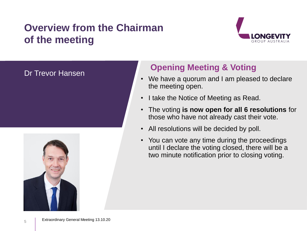# **Overview from the Chairman of the meeting**



#### Dr Trevor Hansen



## **Opening Meeting & Voting**

- We have a quorum and I am pleased to declare the meeting open.
- I take the Notice of Meeting as Read.
- The voting **is now open for all 6 resolutions** for those who have not already cast their vote.
- All resolutions will be decided by poll.
- You can vote any time during the proceedings until I declare the voting closed, there will be a two minute notification prior to closing voting.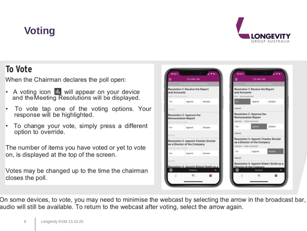# **Voting**



# To Vote

When the Chairman declares the poll open:

- A voting icon **II** will appear on your device<br>and the Meeting Resolutions will be displayed.
- To vote tap one of the voting options. Your response will be highlighted.
- To change your vote, simply press a different option to override.
- The number of items you have voted or yet to vote on, is displayed at the top of the screen.
- Votes may be changed up to the time the chairman closes the poll.



On some devices, to vote, you may need to minimise the webcast by selecting the arrow in the broadcast bar, audio will still be available. To return to the webcast after voting, select the arrow again.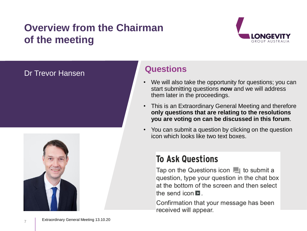# **Overview from the Chairman of the meeting**



#### Dr Trevor Hansen



7

#### **Questions**

- We will also take the opportunity for questions; you can start submitting questions **now** and we will address them later in the proceedings.
- This is an Extraordinary General Meeting and therefore **only questions that are relating to the resolutions you are voting on can be discussed in this forum**.
- You can submit a question by clicking on the question icon which looks like two text boxes.

# **To Ask Questions**

Tap on the Questions icon  $\blacksquare$  to submit a question, type your question in the chat box at the bottom of the screen and then select the send icon  $\blacksquare$ .

Confirmation that your message has been received will appear.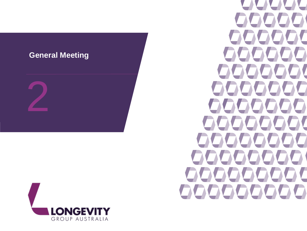



 $\Box$ OC  $\bullet$ 77 OO OC  $\qquad \qquad \Box$ **TAL**  $\blacktriangledown$  $\sum$  $\bullet$  $\sum_{i=1}^{n}$  $\blacktriangle$ V Δ Δ 999  $\sum$ IOOO V. 00000000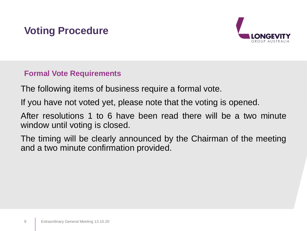# **Voting Procedure**



#### **Formal Vote Requirements**

The following items of business require a formal vote.

If you have not voted yet, please note that the voting is opened.

After resolutions 1 to 6 have been read there will be a two minute window until voting is closed.

The timing will be clearly announced by the Chairman of the meeting and a two minute confirmation provided.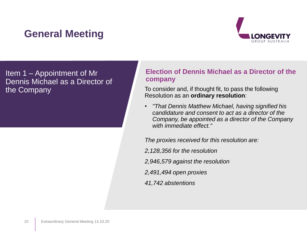

Item 1 – Appointment of Mr Dennis Michael as a Director of the Company

#### **Election of Dennis Michael as a Director of the company**

To consider and, if thought fit, to pass the following Resolution as an **ordinary resolution**:

• *"That Dennis Matthew Michael, having signified his candidature and consent to act as a director of the Company, be appointed as a director of the Company with immediate effect."*

*The proxies received for this resolution are:*

*2,128,356 for the resolution*

*2,946,579 against the resolution*

*2,491,494 open proxies*

*41,742 abstentions*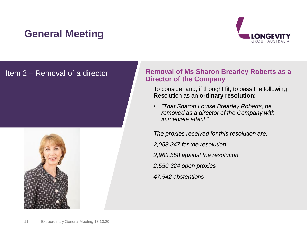

#### Item 2 – Removal of a director



#### **Removal of Ms Sharon Brearley Roberts as a Director of the Company**

To consider and, if thought fit, to pass the following Resolution as an **ordinary resolution**:

• *"That Sharon Louise Brearley Roberts, be removed as a director of the Company with immediate effect."*

*The proxies received for this resolution are:*

*2,058,347 for the resolution*

*2,963,558 against the resolution*

*2,550,324 open proxies*

*47,542 abstentions*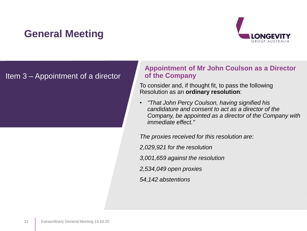

#### Item 3 – Appointment of a director

#### **Appointment of Mr John Coulson as a Director of the Company**

To consider and, if thought fit, to pass the following Resolution as an **ordinary resolution**:

• *"That John Percy Coulson, having signified his candidature and consent to act as a director of the Company, be appointed as a director of the Company with immediate effect."*

*The proxies received for this resolution are:*

*2,029,921 for the resolution*

*3,001,659 against the resolution*

*2,534,049 open proxies*

*54,142 abstentions*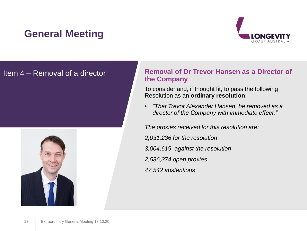

#### Item 4 – Removal of a director



#### **Removal of Dr Trevor Hansen as a Director of the Company**

To consider and, if thought fit, to pass the following Resolution as an **ordinary resolution**:

• *"That Trevor Alexander Hansen, be removed as a director of the Company with immediate effect."*

*The proxies received for this resolution are:*

- *2,031,236 for the resolution*
- *3,004,619 against the resolution*
- *2,536,374 open proxies*
- *47,542 abstentions*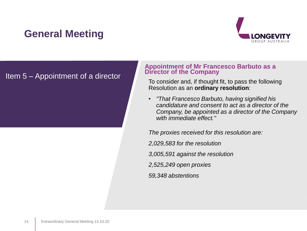

#### Item 5 – Appointment of a director

#### **Appointment of Mr Francesco Barbuto as a Director of the Company**

To consider and, if thought fit, to pass the following Resolution as an **ordinary resolution**:

• *"That Francesco Barbuto, having signified his candidature and consent to act as a director of the Company, be appointed as a director of the Company with immediate effect."*

*The proxies received for this resolution are:*

*2,029,583 for the resolution*

*3,005,591 against the resolution*

*2,525,249 open proxies*

*59,348 abstentions*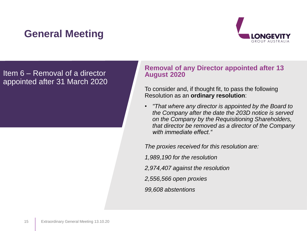

Item 6 – Removal of a director appointed after 31 March 2020

#### **Removal of any Director appointed after 13 August 2020**

To consider and, if thought fit, to pass the following Resolution as an **ordinary resolution**:

• *"That where any director is appointed by the Board to the Company after the date the 203D notice is served on the Company by the Requisitioning Shareholders, that director be removed as a director of the Company with immediate effect."*

*The proxies received for this resolution are:*

*1,989,190 for the resolution*

- *2,974,407 against the resolution*
- *2,556,566 open proxies*

*99,608 abstentions*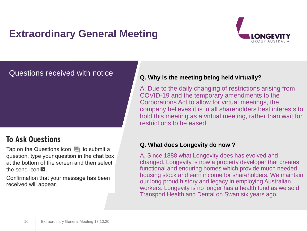

# Questions received with notice **Q.** Why is the meeting being held virtually?

### **To Ask Questions**

Tap on the Questions icon in to submit a question, type your question in the chat box at the bottom of the screen and then select the send icon  $\triangleright$ 

Confirmation that your message has been received will appear.

A. Due to the daily changing of restrictions arising from COVID-19 and the temporary amendments to the Corporations Act to allow for virtual meetings, the company believes it is in all shareholders best interests to hold this meeting as a virtual meeting, rather than wait for restrictions to be eased.

#### **Q. What does Longevity do now ?**

A. Since 1888 what Longevity does has evolved and changed. Longevity is now a property developer that creates functional and enduring homes which provide much needed housing stock and earn income for shareholders. We maintain our long proud history and legacy in employing Australian workers. Longevity is no longer has a health fund as we sold Transport Health and Dental on Swan six years ago.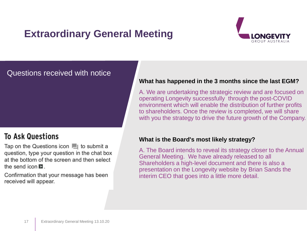

#### Questions received with notice

#### **To Ask Questions**

Tap on the Questions icon in to submit a question, type your question in the chat box at the bottom of the screen and then select the send icon  $\blacksquare$ .

Confirmation that your message has been received will appear.

#### **What has happened in the 3 months since the last EGM?**

A. We are undertaking the strategic review and are focused on operating Longevity successfully through the post-COVID environment which will enable the distribution of further profits to shareholders. Once the review is completed, we will share with you the strategy to drive the future growth of the Company.

#### **What is the Board's most likely strategy?**

A. The Board intends to reveal its strategy closer to the Annual General Meeting. We have already released to all Shareholders a high-level document and there is also a presentation on the Longevity website by Brian Sands the interim CEO that goes into a little more detail.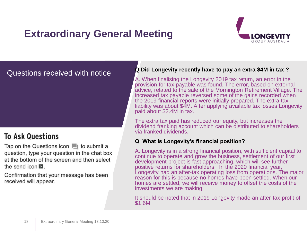

### **To Ask Questions**

Tap on the Questions icon in to submit a question, type your question in the chat box at the bottom of the screen and then select the send icon  $\blacktriangleright$ .

Confirmation that your message has been received will appear.

#### Questions received with notice **Q Did Longevity recently have to pay an extra \$4M in tax ?**

A. When finalising the Longevity 2019 tax return, an error in the provision for tax payable was found. The error, based on external advice, related to the sale of the Mornington Retirement Village. The increased tax payable reversed some of the gains recorded when the 2019 financial reports were initially prepared. The extra tax liability was about \$4M. After applying available tax losses Longevity paid about \$2.4M in tax.

The extra tax paid has reduced our equity, but increases the dividend franking account which can be distributed to shareholders via franked dividends.

#### **Q What is Longevity's financial position?**

A. Longevity is in a strong financial position, with sufficient capital to continue to operate and grow the business, settlement of our first development project is fast approaching, which will see further positive returns for shareholders. In the 2020 financial year, Longevity had an after-tax operating loss from operations. The major reason for this is because no homes have been settled. When our homes are settled, we will receive money to offset the costs of the investments we are making.

It should be noted that in 2019 Longevity made an after-tax profit of \$1.6M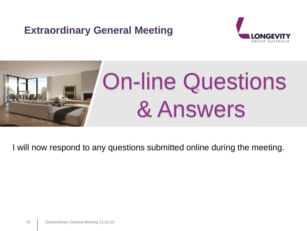



I will now respond to any questions submitted online during the meeting.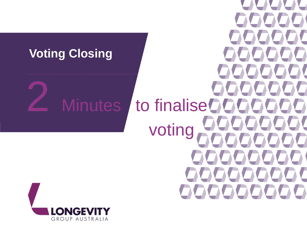# **Voting Closing**

W  $\sqrt{}$ 0000  $\sum$ Minutes to finalise 2000000 22223 votingOOOO  $\sqrt{2}$ 00000000 00000000

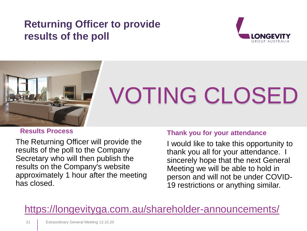# **Returning Officer to provide results of the poll**





# VOTING CLOSED

#### **Results Process**

The Returning Officer will provide the results of the poll to the Company Secretary who will then publish the results on the Company's website approximately 1 hour after the meeting has closed.

#### **Thank you for your attendance**

I would like to take this opportunity to thank you all for your attendance. I sincerely hope that the next General Meeting we will be able to hold in person and will not be under COVID-19 restrictions or anything similar.

# <https://longevityga.com.au/shareholder-announcements/>